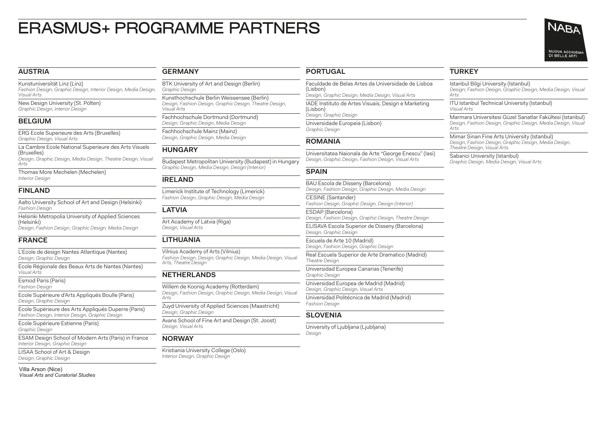# ERASMUS+ PROGRAMME PARTNERS

## **AUSTRIA**

Kunstuniversität Linz (Linz) *Fashion Design, Graphic Design, Interior Design, Media Design, Visual Arts*

New Design University (St. Pölten) *Graphic Design, Interior Design*

## **BELGIUM**

ERG Ecole Superieure des Arts (Bruxelles) *Graphic Design, Visual Arts*

La Cambre Ecole National Superieure des Arts Visuels (Bruxelles)

*Design, Graphic Design, Media Design, Theatre Design, Visual Arts*

Thomas More Mechelen (Mechelen) *Interior Design*

## **FINLAND**

Aalto University School of Art and Design (Helsinki) *Fashion Design*

Helsinki Metropolia University of Applied Sciences (Helsinki)

*Design, Fashion Design, Graphic Design, Media Design*

# **FRANCE**

L'Ecole de design Nantes Atlantique (Nantes) *Design, Graphic Design*

Ecole Régionale des Beaux Arts de Nantes (Nantes) *Visual Arts*

Esmod Paris (Paris) *Fashion Design*

Ecole Supérieure d'Arts Appliqués Boulle (Paris) *Design, Graphic Design*

Ecole Supérieure des Arts Appliqués Duperre (Paris) *Fashion Design, Interior Design, Graphic Design*

Ecole Supérieure Estienne (Paris) *Graphic Design*

ESAM Design School of Modern Arts (Paris) in France *Interior Design, Graphic Design*

LISAA School of Art & Design *Design, Graphic Design*

#### **GERMANY**

BTK University of Art and Design (Berlin) *Graphic Design*

Kunsthochschule Berlin Weissensee (Berlin) *Design, Fashion Design, Graphic Design, Theatre Design, Visual Arts*

Fachhochschule Dortmund (Dortmund) *Design, Graphic Design, Media Design*

Fachhochschule Mainz (Mainz) *Design, Graphic Design, Media Design*

## **HUNGARY**

Budapest Metropolitan University (Budapest) in Hungary *Graphic Design, Media Design, Design (Interior)*

# **IRELAND**

Limerick Institute of Technology (Limerick) *Fashion Design, Graphic Design, Media Design*

# **LATVIA**

Art Academy of Latvia (Riga) *Design, Visual Arts*

# **LITHUANIA**

Vilnius Academy of Arts (Vilnius) *Fashion Design, Design, Graphic Design, Media Design, Visual Arts, Theatre Design*

# **NETHERLANDS**

Willem de Koonig Academy (Rotterdam) *Design, Fashion Design, Graphic Design, Media Design, Visual Arts*

Zuyd University of Applied Sciences (Maastricht) *Design, Graphic Design*

Avans School of Fine Art and Design (St. Joost) *Design, Visual Arts*

# **NORWAY**

Kristiania University College (Oslo) *Interior Design, Graphic Design*

# **PORTUGAL**

Faculdade de Belas Artes da Universidade de Lisboa (Lisbon) *Design, Graphic Design, Media Design, Visual Arts* IADE Instituto de Artes Visuais, Design e Marketing

(Lisbon) *Design, Graphic Design* Universidade Europeia (Lisbon)

*Graphic Design*

## **ROMANIA**

Universitatea Naionala de Arte "George Enescu" (Iasi) *Design, Graphic Design, Fashion Design, Visual Arts*

# **SPAIN**

BAU Escola de Disseny (Barcelona) *Design, Fashion Design, Graphic Design, Media Design*

CESINE (Santander) *Fashion Design, Graphic Design, Design (Interior)*

ESDAP (Barcelona)

*Design, Fashion Design, Graphic Design, Theatre Design* ELISAVA Escola Superior de Disseny (Barcelona)

*Design, Graphic Design* Escuela de Arte 10 (Madrid)

*Design, Fashion Design, Graphic Design*

Real Escuela Superior de Arte Dramatico (Madrid) *Theatre Design*

Universidad Europea Canarias (Tenerife) *Graphic Design*

Universidad Europea de Madrid (Madrid) *Design, Graphic Design, Visual Arts*

Universidad Politécnica de Madrid (Madrid) *Fashion Design*

# **SLOVENIA**

University of Ljubljana (Ljubljana) *Design*

# **TURKEY**

Istanbul Bilgi University (Istanbul)

*Design, Fashion Design, Graphic Design, Media Design, Visual* 

ITU Istanbul Technical University (Istanbul) *Visual Arts*

*Arts Arts*



Marmara Universitesi Güzel Sanatlar Fakültesi (Istanbul) *Design, Fashion Design, Graphic Design, Media Design, Visual* 

Mimar Sinan Fine Arts University (Istanbul) *Design, Fashion Design, Graphic Design, Media Design, Theatre Design, Visual Arts*

Sabanci University (Istanbul) *Graphic Design, Media Design, Visual Arts*

Villa Arson (Nice) *Visual Arts and Curatorial Studies*